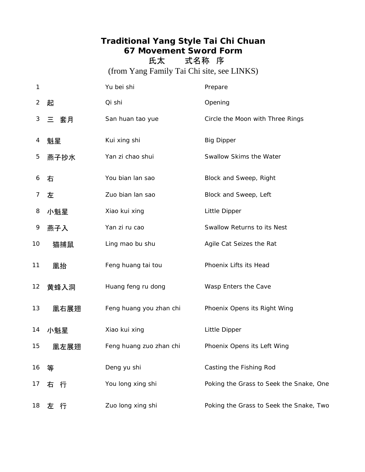## **Traditional Yang Style Tai Chi Chuan 67 Movement Sword Form**

氏太 式名称 序

(from Yang Family Tai Chi site, see LINKS)

| 1       |        | Yu bei shi              | Prepare                                 |
|---------|--------|-------------------------|-----------------------------------------|
| 2       | 起      | Qi shi                  | Opening                                 |
| 3       | 三 套月   | San huan tao yue        | Circle the Moon with Three Rings        |
| 4       | 魁星     | Kui xing shi            | <b>Big Dipper</b>                       |
| 5       | 燕子抄水   | Yan zi chao shui        | Swallow Skims the Water                 |
| 6       | 右      | You bian lan sao        | Block and Sweep, Right                  |
| 7       | 左      | Zuo bian lan sao        | Block and Sweep, Left                   |
| 8       | 小魁星    | Xiao kui xing           | Little Dipper                           |
| 9       | 燕子入    | Yan zi ru cao           | Swallow Returns to its Nest             |
| 10      | 猫捕鼠    | Ling mao bu shu         | Agile Cat Seizes the Rat                |
| 11      | 凰抬     | Feng huang tai tou      | Phoenix Lifts its Head                  |
| $12 \,$ | 黄蜂入洞   | Huang feng ru dong      | Wasp Enters the Cave                    |
| 13      | 凰右展翅   | Feng huang you zhan chi | Phoenix Opens its Right Wing            |
| 14      | 小魁星    | Xiao kui xing           | Little Dipper                           |
| 15      | 凰左展翅   | Feng huang zuo zhan chi | Phoenix Opens its Left Wing             |
| 16      | 等      | Deng yu shi             | Casting the Fishing Rod                 |
| 17      | 右行     | You long xing shi       | Poking the Grass to Seek the Snake, One |
| 18      | 行<br>左 | Zuo long xing shi       | Poking the Grass to Seek the Snake, Two |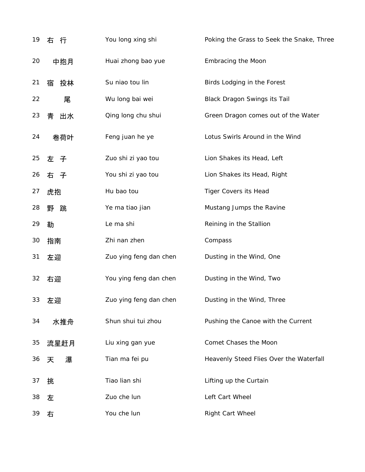| 19 | 右 行     | You long xing shi      | Poking the Grass to Seek the Snake, Three |
|----|---------|------------------------|-------------------------------------------|
| 20 | 中抱月     | Huai zhong bao yue     | Embracing the Moon                        |
| 21 | 投林<br>宿 | Su niao tou lin        | Birds Lodging in the Forest               |
| 22 | 尾       | Wu long bai wei        | <b>Black Dragon Swings its Tail</b>       |
| 23 | 青<br>出水 | Qing long chu shui     | Green Dragon comes out of the Water       |
| 24 | 卷荷叶     | Feng juan he ye        | Lotus Swirls Around in the Wind           |
| 25 | 左 子     | Zuo shi zi yao tou     | Lion Shakes its Head, Left                |
| 26 | 右子      | You shi zi yao tou     | Lion Shakes its Head, Right               |
| 27 | 虎抱      | Hu bao tou             | <b>Tiger Covers its Head</b>              |
| 28 | 野 跳     | Ye ma tiao jian        | Mustang Jumps the Ravine                  |
| 29 | 勒       | Le ma shi              | Reining in the Stallion                   |
| 30 | 指南      | Zhi nan zhen           | Compass                                   |
| 31 | 左迎      | Zuo ying feng dan chen | Dusting in the Wind, One                  |
| 32 | 右迎      | You ying feng dan chen | Dusting in the Wind, Two                  |
| 33 | 左迎      | Zuo ying feng dan chen | Dusting in the Wind, Three                |
| 34 | 水推舟     | Shun shui tui zhou     | Pushing the Canoe with the Current        |
| 35 | 流星赶月    | Liu xing gan yue       | Comet Chases the Moon                     |
| 36 | 瀑<br>天  | Tian ma fei pu         | Heavenly Steed Flies Over the Waterfall   |
| 37 | 挑       | Tiao lian shi          | Lifting up the Curtain                    |
| 38 | 左       | Zuo che lun            | Left Cart Wheel                           |
| 39 | 右       | You che lun            | Right Cart Wheel                          |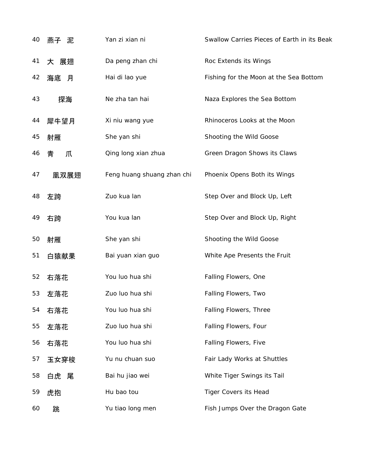| 40 | 燕子 泥    | Yan zi xian ni             | Swallow Carries Pieces of Earth in its Beak |
|----|---------|----------------------------|---------------------------------------------|
| 41 | 大 展翅    | Da peng zhan chi           | Roc Extends its Wings                       |
| 42 | 海底<br>月 | Hai di lao yue             | Fishing for the Moon at the Sea Bottom      |
| 43 | 探海      | Ne zha tan hai             | Naza Explores the Sea Bottom                |
| 44 | 犀牛望月    | Xi niu wang yue            | Rhinoceros Looks at the Moon                |
| 45 | 射雁      | She yan shi                | Shooting the Wild Goose                     |
| 46 | 青<br>爪  | Qing long xian zhua        | Green Dragon Shows its Claws                |
| 47 | 凰双展翅    | Feng huang shuang zhan chi | Phoenix Opens Both its Wings                |
| 48 | 左跨      | Zuo kua lan                | Step Over and Block Up, Left                |
| 49 | 右跨      | You kua lan                | Step Over and Block Up, Right               |
| 50 | 射雁      | She yan shi                | Shooting the Wild Goose                     |
| 51 | 白猿献果    | Bai yuan xian guo          | White Ape Presents the Fruit                |
| 52 | 右落花     | You luo hua shi            | Falling Flowers, One                        |
| 53 | 左落花     | Zuo luo hua shi            | Falling Flowers, Two                        |
| 54 | 右落花     | You luo hua shi            | <b>Falling Flowers, Three</b>               |
| 55 | 左落花     | Zuo luo hua shi            | Falling Flowers, Four                       |
| 56 | 右落花     | You luo hua shi            | Falling Flowers, Five                       |
| 57 | 玉女穿梭    | Yu nu chuan suo            | Fair Lady Works at Shuttles                 |
| 58 | 白虎 尾    | Bai hu jiao wei            | White Tiger Swings its Tail                 |
| 59 | 虎抱      | Hu bao tou                 | <b>Tiger Covers its Head</b>                |
| 60 | 跳       | Yu tiao long men           | Fish Jumps Over the Dragon Gate             |